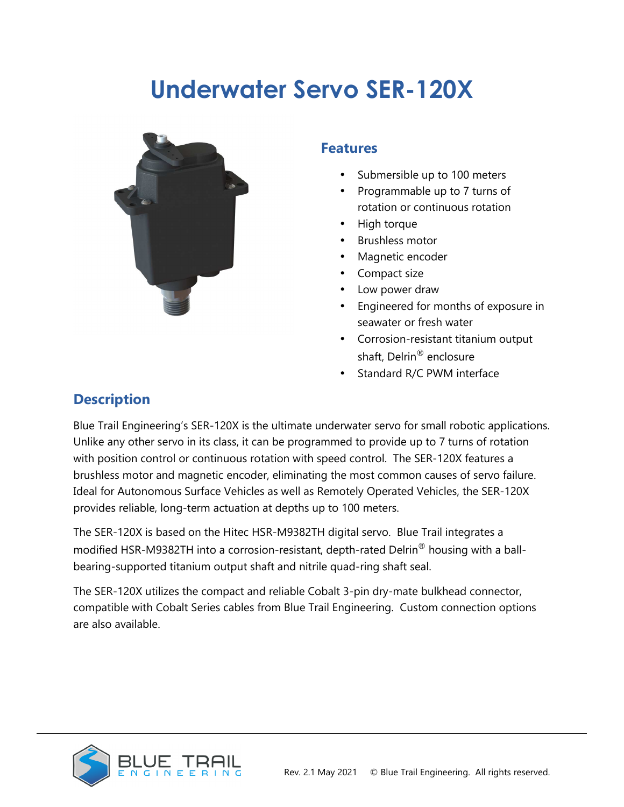# **Underwater Servo SER-120X**



#### **Features**

- Submersible up to 100 meters
- Programmable up to 7 turns of rotation or continuous rotation
- High torque
- Brushless motor
- Magnetic encoder
- Compact size
- Low power draw
- Engineered for months of exposure in seawater or fresh water
- Corrosion-resistant titanium output shaft, Delrin® enclosure
- Standard R/C PWM interface

### **Description**

Blue Trail Engineering's SER-120X is the ultimate underwater servo for small robotic applications. Unlike any other servo in its class, it can be programmed to provide up to 7 turns of rotation with position control or continuous rotation with speed control. The SER-120X features a brushless motor and magnetic encoder, eliminating the most common causes of servo failure. Ideal for Autonomous Surface Vehicles as well as Remotely Operated Vehicles, the SER-120X provides reliable, long-term actuation at depths up to 100 meters.

The SER-120X is based on the Hitec HSR-M9382TH digital servo. Blue Trail integrates a modified HSR-M9382TH into a corrosion-resistant, depth-rated Delrin® housing with a ballbearing-supported titanium output shaft and nitrile quad-ring shaft seal.

The SER-120X utilizes the compact and reliable Cobalt 3-pin dry-mate bulkhead connector, compatible with Cobalt Series cables from Blue Trail Engineering. Custom connection options are also available.

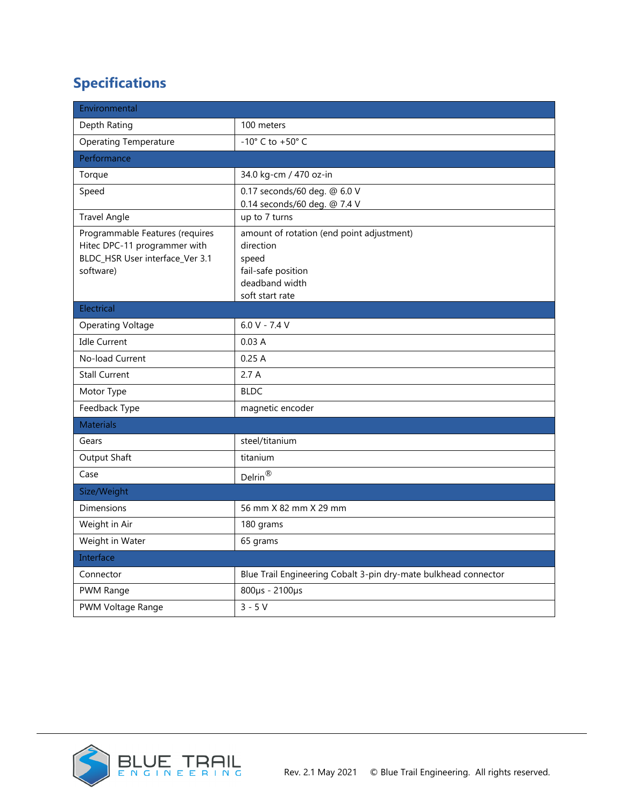# **Specifications**

| Environmental                                                                                                   |                                                                                                                            |  |
|-----------------------------------------------------------------------------------------------------------------|----------------------------------------------------------------------------------------------------------------------------|--|
| Depth Rating                                                                                                    | 100 meters                                                                                                                 |  |
| <b>Operating Temperature</b>                                                                                    | -10 $^{\circ}$ C to +50 $^{\circ}$ C                                                                                       |  |
| Performance                                                                                                     |                                                                                                                            |  |
| Torque                                                                                                          | 34.0 kg-cm / 470 oz-in                                                                                                     |  |
| Speed                                                                                                           | 0.17 seconds/60 deg. @ 6.0 V<br>0.14 seconds/60 deg. @ 7.4 V                                                               |  |
| <b>Travel Angle</b>                                                                                             | up to 7 turns                                                                                                              |  |
| Programmable Features (requires<br>Hitec DPC-11 programmer with<br>BLDC_HSR User interface_Ver 3.1<br>software) | amount of rotation (end point adjustment)<br>direction<br>speed<br>fail-safe position<br>deadband width<br>soft start rate |  |
| Electrical                                                                                                      |                                                                                                                            |  |
| <b>Operating Voltage</b>                                                                                        | $6.0 V - 7.4 V$                                                                                                            |  |
| <b>Idle Current</b>                                                                                             | 0.03A                                                                                                                      |  |
| No-load Current                                                                                                 | 0.25A                                                                                                                      |  |
| <b>Stall Current</b>                                                                                            | 2.7A                                                                                                                       |  |
| Motor Type                                                                                                      | <b>BLDC</b>                                                                                                                |  |
| Feedback Type                                                                                                   | magnetic encoder                                                                                                           |  |
| <b>Materials</b>                                                                                                |                                                                                                                            |  |
| Gears                                                                                                           | steel/titanium                                                                                                             |  |
| Output Shaft                                                                                                    | titanium                                                                                                                   |  |
| Case                                                                                                            | $\mathsf{Delrin}^{\circledR}$                                                                                              |  |
| Size/Weight                                                                                                     |                                                                                                                            |  |
| Dimensions                                                                                                      | 56 mm X 82 mm X 29 mm                                                                                                      |  |
| Weight in Air                                                                                                   | 180 grams                                                                                                                  |  |
| Weight in Water                                                                                                 | 65 grams                                                                                                                   |  |
| Interface                                                                                                       |                                                                                                                            |  |
| Connector                                                                                                       | Blue Trail Engineering Cobalt 3-pin dry-mate bulkhead connector                                                            |  |
| PWM Range                                                                                                       | 800µs - 2100µs                                                                                                             |  |
| PWM Voltage Range                                                                                               | $3 - 5V$                                                                                                                   |  |

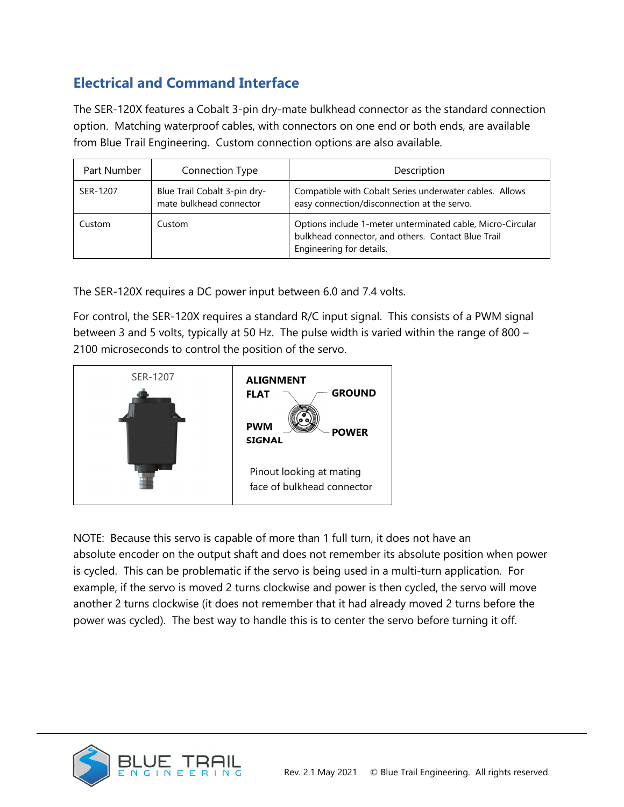### **Electrical and Command Interface**

The SER-120X features a Cobalt 3-pin dry-mate bulkhead connector as the standard connection option. Matching waterproof cables, with connectors on one end or both ends, are available from Blue Trail Engineering. Custom connection options are also available.

| Part Number | Connection Type                                         | Description                                                                                                                                  |
|-------------|---------------------------------------------------------|----------------------------------------------------------------------------------------------------------------------------------------------|
| SER-1207    | Blue Trail Cobalt 3-pin dry-<br>mate bulkhead connector | Compatible with Cobalt Series underwater cables. Allows<br>easy connection/disconnection at the servo.                                       |
| Custom      | Custom                                                  | Options include 1-meter unterminated cable, Micro-Circular<br>bulkhead connector, and others. Contact Blue Trail<br>Engineering for details. |

The SER-120X requires a DC power input between 6.0 and 7.4 volts.

For control, the SER-120X requires a standard R/C input signal. This consists of a PWM signal between 3 and 5 volts, typically at 50 Hz. The pulse width is varied within the range of 800 – 2100 microseconds to control the position of the servo.



NOTE: Because this servo is capable of more than 1 full turn, it does not have an absolute encoder on the output shaft and does not remember its absolute position when power is cycled. This can be problematic if the servo is being used in a multi-turn application. For example, if the servo is moved 2 turns clockwise and power is then cycled, the servo will move another 2 turns clockwise (it does not remember that it had already moved 2 turns before the power was cycled). The best way to handle this is to center the servo before turning it off.

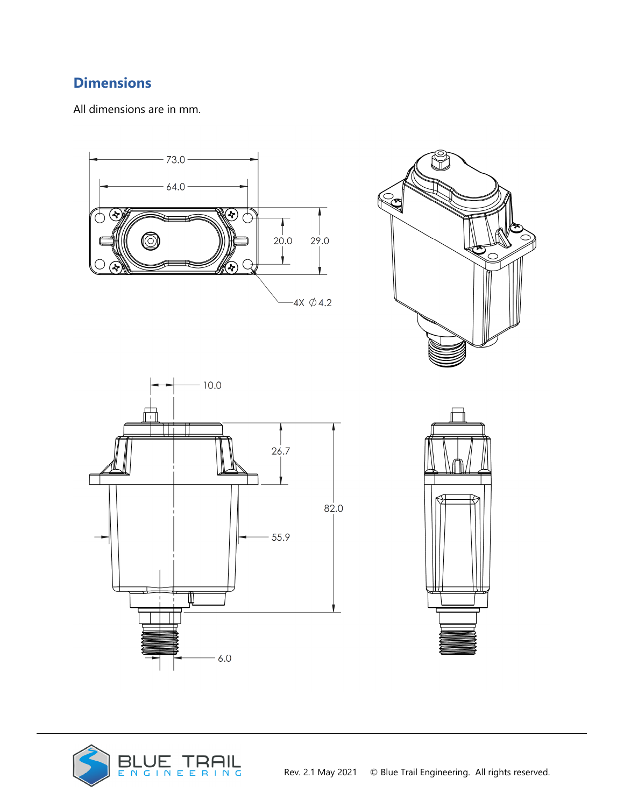## **Dimensions**

All dimensions are in mm.